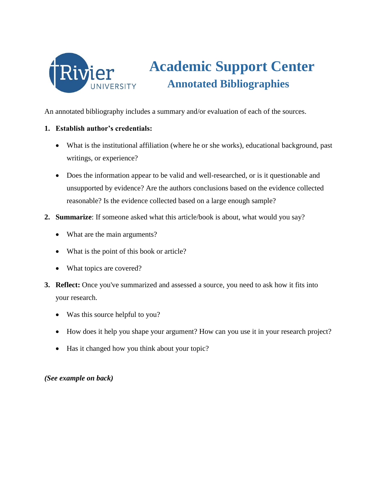

## **Academic Support Center Annotated Bibliographies**

An annotated bibliography includes a summary and/or evaluation of each of the sources.

## **1. Establish author's credentials:**

- What is the institutional affiliation (where he or she works), educational background, past writings, or experience?
- Does the information appear to be valid and well-researched, or is it questionable and unsupported by evidence? Are the authors conclusions based on the evidence collected reasonable? Is the evidence collected based on a large enough sample?
- **2. Summarize**: If someone asked what this article/book is about, what would you say?
	- What are the main arguments?
	- What is the point of this book or article?
	- What topics are covered?
- **3. Reflect:** Once you've summarized and assessed a source, you need to ask how it fits into your research.
	- Was this source helpful to you?
	- How does it help you shape your argument? How can you use it in your research project?
	- Has it changed how you think about your topic?

*(See example on back)*